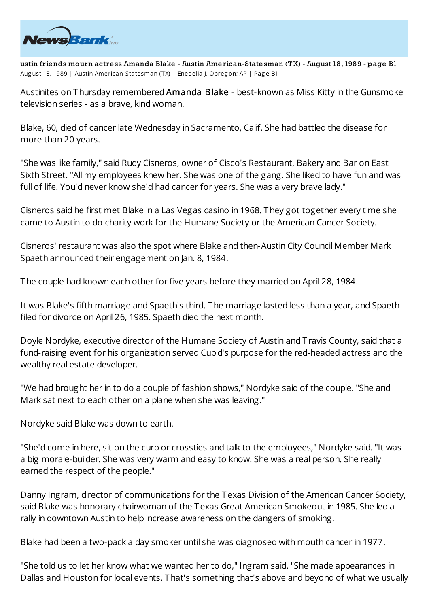

**ustin friends mourn actress Amanda Blake - Austin American-Statesman (TX) - August 18, 1989 - page B1** Aug ust 18, 1989 | Austin American-Statesman (TX) | Enedelia J. Obreg on; AP | Page B1

Austinites on Thursday remembered Amanda Blake - best-known as Miss Kitty in the Gunsmoke television series - as a brave, kind woman.

Blake, 60, died of cancer late Wednesday in Sacramento, Calif. She had battled the disease for more than 20 years.

"She was like family," said Rudy Cisneros, owner of Cisco's Restaurant, Bakery and Bar on East Sixth Street. "All my employees knew her. She was one of the gang. She liked to have fun and was full of life. You'd never know she'd had cancer for years. She was a very brave lady."

Cisneros said he first met Blake in a Las Vegas casino in 1968. They got together every time she came to Austin to do charity work for the Humane Society or the American Cancer Society.

Cisneros' restaurant was also the spot where Blake and then-Austin City Council Member Mark Spaeth announced their engagement on Jan. 8, 1984.

The couple had known each other for five years before they married on April 28, 1984.

It was Blake's fifth marriage and Spaeth's third. The marriage lasted less than a year, and Spaeth filed for divorce on April 26, 1985. Spaeth died the next month.

Doyle Nordyke, executive director of the Humane Society of Austin and T ravis County, said that a fund-raising event for his organization served Cupid's purpose for the red-headed actress and the wealthy real estate developer.

"We had brought her in to do a couple of fashion shows," Nordyke said of the couple. "She and Mark sat next to each other on a plane when she was leaving."

Nordyke said Blake was down to earth.

"She'd come in here, sit on the curb or crossties and talk to the employees," Nordyke said. "It was a big morale-builder. She was very warm and easy to know. She was a real person. She really earned the respect of the people."

Danny Ingram, director of communications for the Texas Division of the American Cancer Society, said Blake was honorary chairwoman of the Texas Great American Smokeout in 1985. She led a rally in downtown Austin to help increase awareness on the dangers of smoking.

Blake had been a two-pack a day smoker until she was diagnosed with mouth cancer in 1977.

"She told us to let her know what we wanted her to do," Ingram said. "She made appearances in Dallas and Houston for local events. That's something that's above and beyond of what we usually